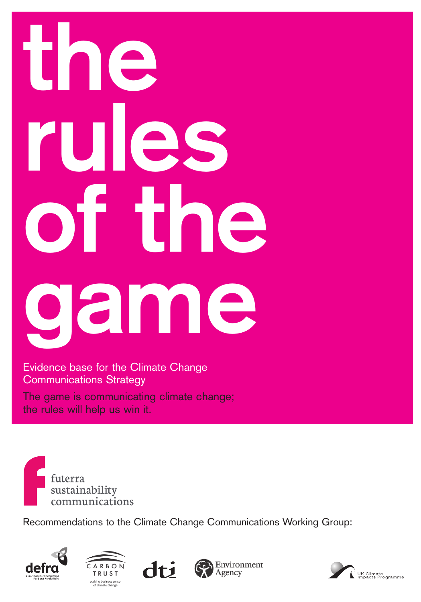# **the rules of the game**

Evidence base for the Climate Change Communications Strategy

The game is communicating climate change; the rules will help us win it.



Recommendations to the Climate Change Communications Working Group:









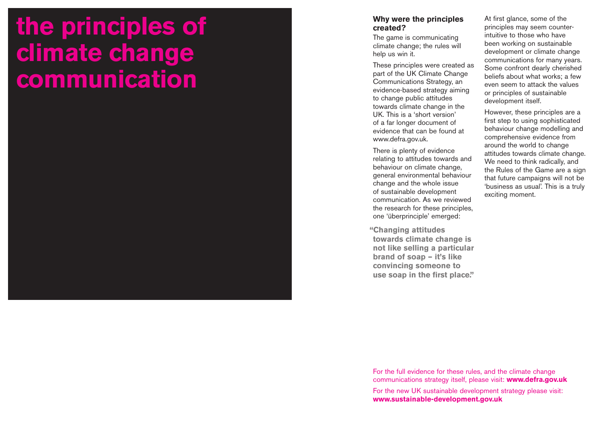# **the principles of climate change communication**

#### **Why were the principles created?**

The game is communicating climate change; the rules will help us win it.

These principles were created as part of the UK Climate Change Communications Strategy, an evidence-based strategy aiming to change public attitudes towards climate change in the UK. This is a 'short version' of a far longer document of evidence that can be found at www.defra.gov.uk.

There is plenty of evidence relating to attitudes towards and behaviour on climate change, general environmental behaviour change and the whole issue of sustainable development communication. As we reviewed the research for these principles, one 'überprinciple' emerged:

**"Changing attitudes towards climate change is not like selling a particular brand of soap – it's like convincing someone to use soap in the first place."**

At first glance, some of the principles may seem counterintuitive to those who have been working on sustainable development or climate change communications for many years. Some confront dearly cherished beliefs about what works; a few even seem to attack the values or principles of sustainable development itself.

However, these principles are a first step to using sophisticated behaviour change modelling and comprehensive evidence from around the world to change attitudes towards climate change. We need to think radically, and the Rules of the Game are a sign that future campaigns will not be 'business as usual'. This is a truly exciting moment.

For the full evidence for these rules, and the climate change communications strategy itself, please visit: **www.defra.gov.uk**

For the new UK sustainable development strategy please visit: **www.sustainable-development.gov.uk**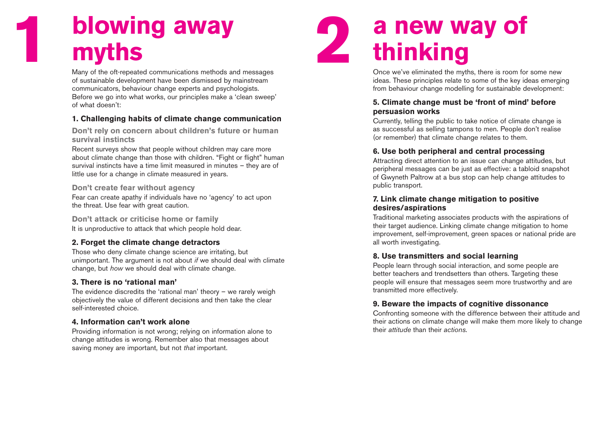# **2 blowing away myths**

**1**

Many of the oft-repeated communications methods and messages of sustainable development have been dismissed by mainstream communicators, behaviour change experts and psychologists. Before we go into what works, our principles make a 'clean sweep' of what doesn't:

### **1. Challenging habits of climate change communication**

**Don't rely on concern about children's future or human survival instincts**

Recent surveys show that people without children may care more about climate change than those with children. "Fight or flight" human survival instincts have a time limit measured in minutes – they are of little use for a change in climate measured in years.

### **Don't create fear without agency**

Fear can create apathy if individuals have no 'agency' to act upon the threat. Use fear with great caution.

**Don't attack or criticise home or family** It is unproductive to attack that which people hold dear.

### **2. Forget the climate change detractors**

Those who deny climate change science are irritating, but unimportant. The argument is not about *if* we should deal with climate change, but *how* we should deal with climate change.

### **3. There is no 'rational man'**

The evidence discredits the 'rational man' theory – we rarely weigh objectively the value of different decisions and then take the clear self-interested choice.

### **4. Information can't work alone**

Providing information is not wrong; relying on information alone to change attitudes is wrong. Remember also that messages about saving money are important, but not *that* important.

# **a new way of thinking**

Once we've eliminated the myths, there is room for some new ideas. These principles relate to some of the key ideas emerging from behaviour change modelling for sustainable development:

### **5. Climate change must be 'front of mind' before persuasion works**

Currently, telling the public to take notice of climate change is as successful as selling tampons to men. People don't realise (or remember) that climate change relates to them.

### **6. Use both peripheral and central processing**

Attracting direct attention to an issue can change attitudes, but peripheral messages can be just as effective: a tabloid snapshot of Gwyneth Paltrow at a bus stop can help change attitudes to public transport.

### **7. Link climate change mitigation to positive desires/aspirations**

Traditional marketing associates products with the aspirations of their target audience. Linking climate change mitigation to home improvement, self-improvement, green spaces or national pride are all worth investigating.

### **8. Use transmitters and social learning**

People learn through social interaction, and some people are better teachers and trendsetters than others. Targeting these people will ensure that messages seem more trustworthy and are transmitted more effectively.

### **9. Beware the impacts of cognitive dissonance**

Confronting someone with the difference between their attitude and their actions on climate change will make them more likely to change their *attitude* than their *actions.*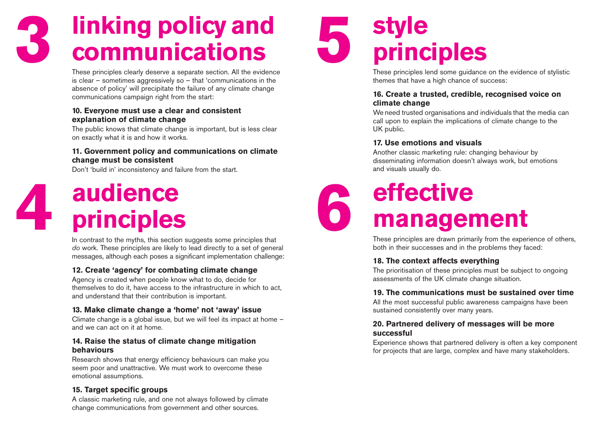### **linking policy and communications 3**

These principles clearly deserve a separate section. All the evidence is clear – sometimes aggressively so – that 'communications in the absence of policy' will precipitate the failure of any climate change communications campaign right from the start:

### **10. Everyone must use a clear and consistent explanation of climate change**

The public knows that climate change is important, but is less clear on exactly what it is and how it works.

### **11. Government policy and communications on climate change must be consistent**

Don't 'build in' inconsistency and failure from the start.



In contrast to the myths, this section suggests some principles that *do* work. These principles are likely to lead directly to a set of general messages, although each poses a significant implementation challenge:

### **12. Create 'agency' for combating climate change**

Agency is created when people know what to do, decide for themselves to do it, have access to the infrastructure in which to act, and understand that their contribution is important.

### **13. Make climate change a 'home' not 'away' issue**

Climate change is a global issue, but we will feel its impact at home – and we can act on it at home.

### **14. Raise the status of climate change mitigation behaviours**

Research shows that energy efficiency behaviours can make you seem poor and unattractive. We must work to overcome these emotional assumptions.

### **15. Target specific groups**

A classic marketing rule, and one not always followed by climate change communications from government and other sources.



These principles lend some guidance on the evidence of stylistic themes that have a high chance of success:

### **16. Create a trusted, credible, recognised voice on climate change**

We need trusted organisations and individuals that the media can call upon to explain the implications of climate change to the UK public.

### **17. Use emotions and visuals**

Another classic marketing rule: changing behaviour by disseminating information doesn't always work, but emotions and visuals usually do.

### **effective management 6**

These principles are drawn primarily from the experience of others, both in their successes and in the problems they faced:

### **18. The context affects everything**

The prioritisation of these principles must be subject to ongoing assessments of the UK climate change situation.

### **19. The communications must be sustained over time**

All the most successful public awareness campaigns have been sustained consistently over many years.

### **20. Partnered delivery of messages will be more successful**

Experience shows that partnered delivery is often a key component for projects that are large, complex and have many stakeholders.